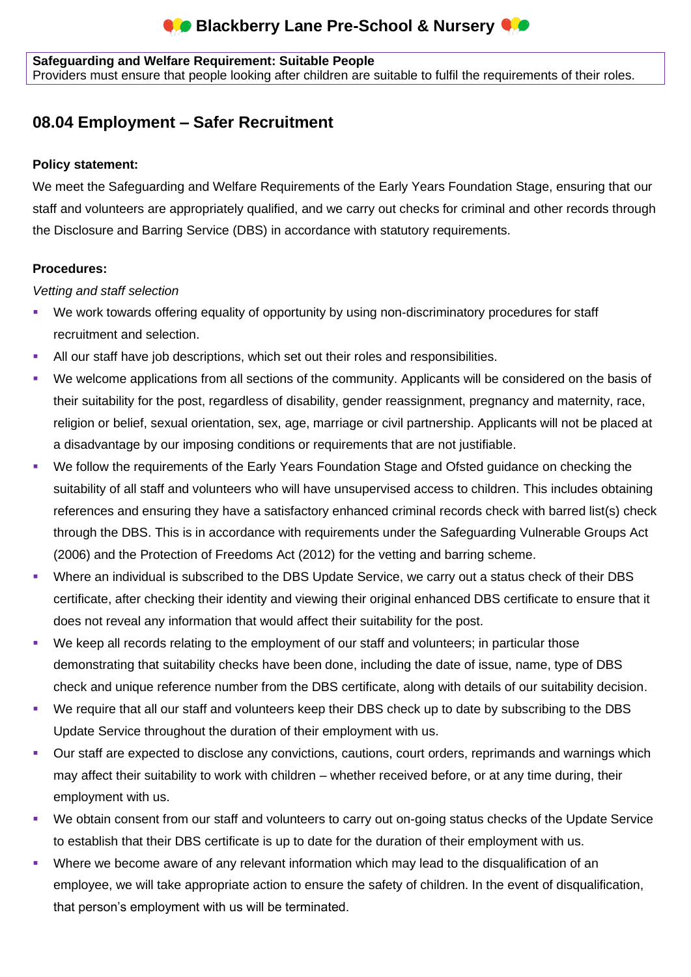# **Blackberry Lane Pre-School & Nursery CO**

**Safeguarding and Welfare Requirement: Suitable People**

Providers must ensure that people looking after children are suitable to fulfil the requirements of their roles.

# **08.04 Employment – Safer Recruitment**

#### **Policy statement:**

We meet the Safeguarding and Welfare Requirements of the Early Years Foundation Stage, ensuring that our staff and volunteers are appropriately qualified, and we carry out checks for criminal and other records through the Disclosure and Barring Service (DBS) in accordance with statutory requirements.

### **Procedures:**

#### *Vetting and staff selection*

- We work towards offering equality of opportunity by using non-discriminatory procedures for staff recruitment and selection.
- **E** All our staff have job descriptions, which set out their roles and responsibilities.
- We welcome applications from all sections of the community. Applicants will be considered on the basis of their suitability for the post, regardless of disability, gender reassignment, pregnancy and maternity, race, religion or belief, sexual orientation, sex, age, marriage or civil partnership. Applicants will not be placed at a disadvantage by our imposing conditions or requirements that are not justifiable.
- We follow the requirements of the Early Years Foundation Stage and Ofsted guidance on checking the suitability of all staff and volunteers who will have unsupervised access to children. This includes obtaining references and ensuring they have a satisfactory enhanced criminal records check with barred list(s) check through the DBS. This is in accordance with requirements under the Safeguarding Vulnerable Groups Act (2006) and the Protection of Freedoms Act (2012) for the vetting and barring scheme.
- Where an individual is subscribed to the DBS Update Service, we carry out a status check of their DBS certificate, after checking their identity and viewing their original enhanced DBS certificate to ensure that it does not reveal any information that would affect their suitability for the post.
- We keep all records relating to the employment of our staff and volunteers; in particular those demonstrating that suitability checks have been done, including the date of issue, name, type of DBS check and unique reference number from the DBS certificate, along with details of our suitability decision.
- We require that all our staff and volunteers keep their DBS check up to date by subscribing to the DBS Update Service throughout the duration of their employment with us.
- Our staff are expected to disclose any convictions, cautions, court orders, reprimands and warnings which may affect their suitability to work with children – whether received before, or at any time during, their employment with us.
- We obtain consent from our staff and volunteers to carry out on-going status checks of the Update Service to establish that their DBS certificate is up to date for the duration of their employment with us.
- Where we become aware of any relevant information which may lead to the disqualification of an employee, we will take appropriate action to ensure the safety of children. In the event of disqualification, that person's employment with us will be terminated.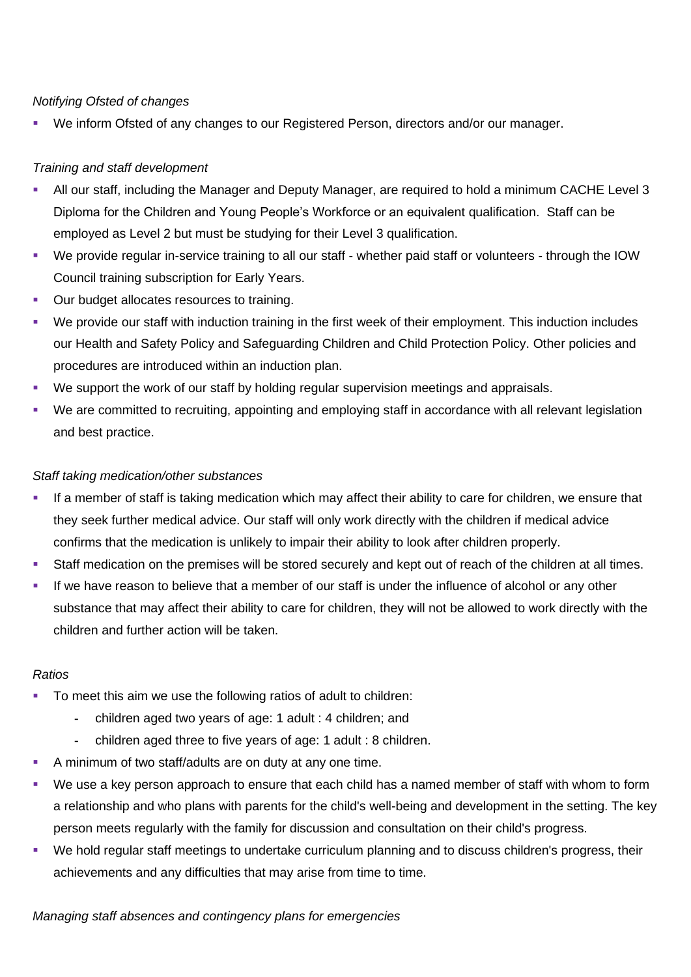#### *Notifying Ofsted of changes*

We inform Ofsted of any changes to our Registered Person, directors and/or our manager.

#### *Training and staff development*

- All our staff, including the Manager and Deputy Manager, are required to hold a minimum CACHE Level 3 Diploma for the Children and Young People's Workforce or an equivalent qualification. Staff can be employed as Level 2 but must be studying for their Level 3 qualification.
- We provide regular in-service training to all our staff whether paid staff or volunteers through the IOW Council training subscription for Early Years.
- Our budget allocates resources to training.
- We provide our staff with induction training in the first week of their employment. This induction includes our Health and Safety Policy and Safeguarding Children and Child Protection Policy. Other policies and procedures are introduced within an induction plan.
- We support the work of our staff by holding regular supervision meetings and appraisals.
- We are committed to recruiting, appointing and employing staff in accordance with all relevant legislation and best practice.

#### *Staff taking medication/other substances*

- If a member of staff is taking medication which may affect their ability to care for children, we ensure that they seek further medical advice. Our staff will only work directly with the children if medical advice confirms that the medication is unlikely to impair their ability to look after children properly.
- Staff medication on the premises will be stored securely and kept out of reach of the children at all times.
- If we have reason to believe that a member of our staff is under the influence of alcohol or any other substance that may affect their ability to care for children, they will not be allowed to work directly with the children and further action will be taken.

#### *Ratios*

- To meet this aim we use the following ratios of adult to children:
	- **-** children aged two years of age: 1 adult : 4 children; and
	- **-** children aged three to five years of age: 1 adult : 8 children.
- A minimum of two staff/adults are on duty at any one time.
- We use a key person approach to ensure that each child has a named member of staff with whom to form a relationship and who plans with parents for the child's well-being and development in the setting. The key person meets regularly with the family for discussion and consultation on their child's progress.
- We hold regular staff meetings to undertake curriculum planning and to discuss children's progress, their achievements and any difficulties that may arise from time to time.

#### *Managing staff absences and contingency plans for emergencies*